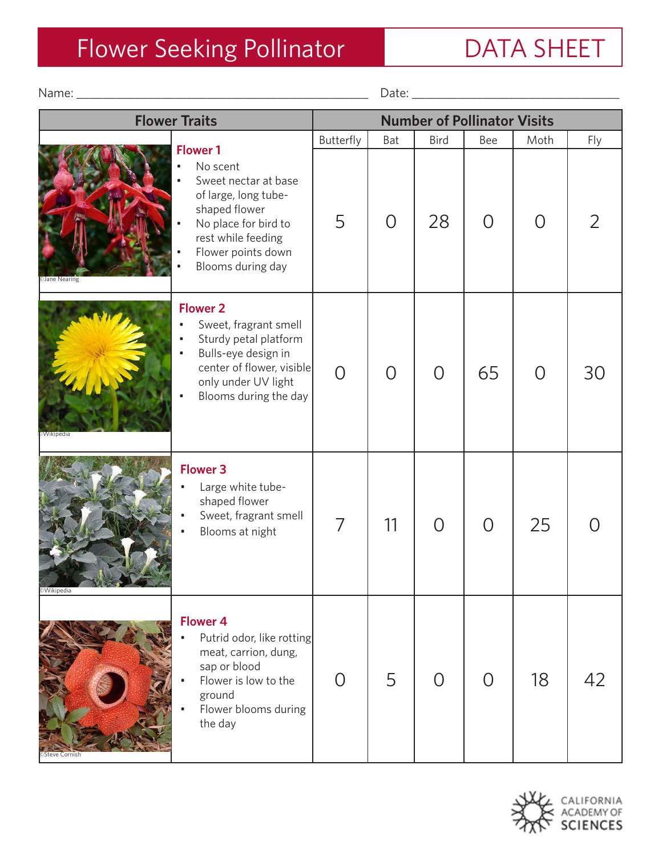## Flower Seeking Pollinator **DATA SHEET**

**Flower Traits Number of Pollinator Visits** Butterfly Bat | Bird | Bee | Moth | Fly 5 0 28 0 0 2 0 0 0 65 0 30 7 | 11 | 0 | 0 | 25 | 0 0 | 5 | 0 | 0 | 18 | 42 ©Jane Nearing ©Wikipedia ©Wikipedia Name: \_\_\_\_\_\_\_\_\_\_\_\_\_\_\_\_\_\_\_\_\_\_\_\_\_\_\_\_\_\_\_\_\_\_\_\_\_\_\_\_\_\_\_\_\_ Date: \_\_\_\_\_\_\_\_\_\_\_\_\_\_\_\_\_\_\_\_\_\_\_\_\_\_\_\_\_\_\_\_ No scent Sweet nectar at base of large, long tubeshaped flower No place for bird to rest while feeding Flower points down Blooms during day **Flower 1** • Sweet, fragrant smell • Sturdy petal platform Bulls-eye design in center of flower, visible only under UV light Blooms during the day **Flower 2** Large white tubeshaped flower Sweet, fragrant smell Blooms at night **Flower 3** Putrid odor, like rotting meat, carrion, dung, sap or blood Flower is low to the ground Flower blooms during the day **Flower 4**



©Steve Cornish